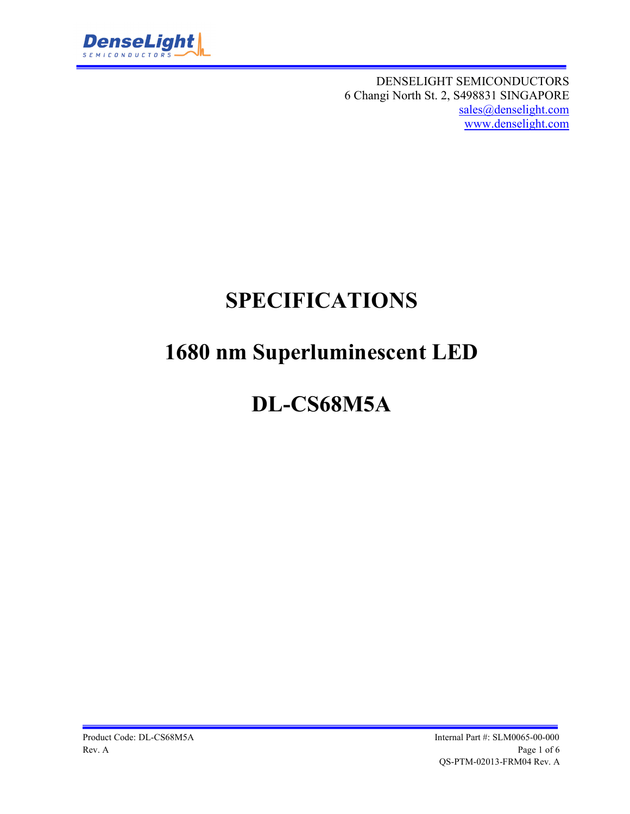

DENSELIGHT SEMICONDUCTORS 6 Changi North St. 2, S498831 SINGAPORE sales@denselight.com www.denselight.com

# **SPECIFICATIONS**

# **1680 nm Superluminescent LED**

# **DL-CS68M5A**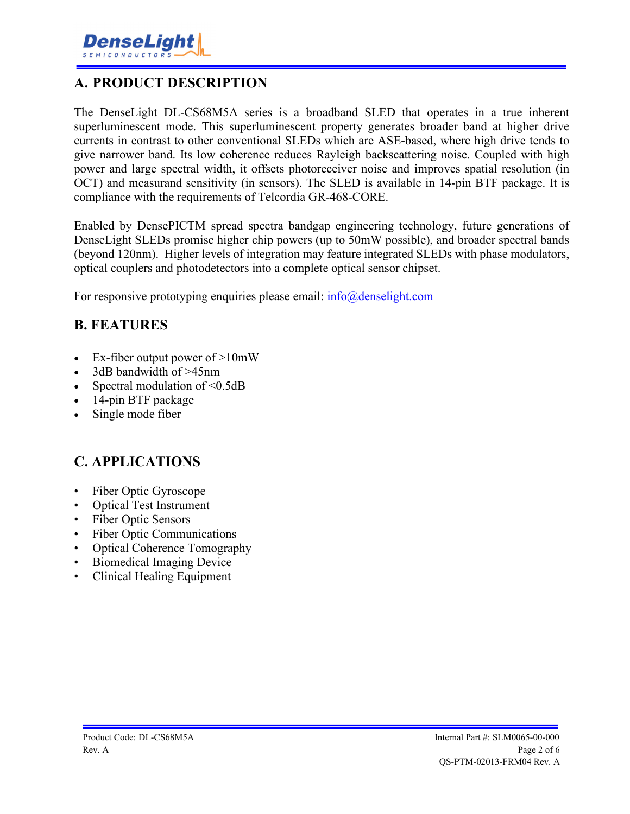### **A. PRODUCT DESCRIPTION**

The DenseLight DL-CS68M5A series is a broadband SLED that operates in a true inherent superluminescent mode. This superluminescent property generates broader band at higher drive currents in contrast to other conventional SLEDs which are ASE-based, where high drive tends to give narrower band. Its low coherence reduces Rayleigh backscattering noise. Coupled with high power and large spectral width, it offsets photoreceiver noise and improves spatial resolution (in OCT) and measurand sensitivity (in sensors). The SLED is available in 14-pin BTF package. It is compliance with the requirements of Telcordia GR-468-CORE.

Enabled by DensePICTM spread spectra bandgap engineering technology, future generations of DenseLight SLEDs promise higher chip powers (up to 50mW possible), and broader spectral bands (beyond 120nm). Higher levels of integration may feature integrated SLEDs with phase modulators, optical couplers and photodetectors into a complete optical sensor chipset.

For responsive prototyping enquiries please email:  $info@density$ 

### **B. FEATURES**

- Ex-fiber output power of >10mW
- 3dB bandwidth of >45nm
- Spectral modulation of <0.5dB
- 14-pin BTF package
- Single mode fiber

# **C. APPLICATIONS**

- Fiber Optic Gyroscope
- Optical Test Instrument
- Fiber Optic Sensors
- Fiber Optic Communications
- Optical Coherence Tomography
- Biomedical Imaging Device
- Clinical Healing Equipment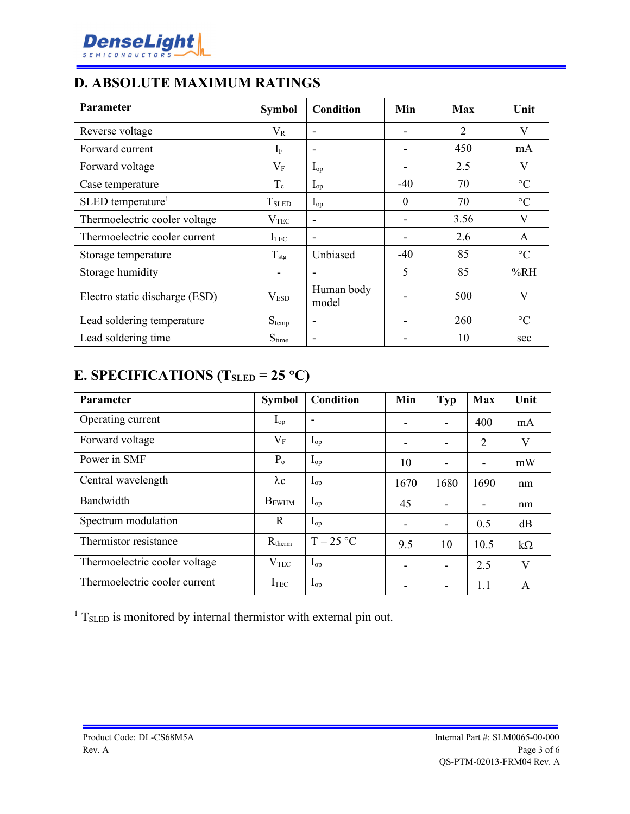

# **D. ABSOLUTE MAXIMUM RATINGS**

| Parameter                      | <b>Symbol</b>            | <b>Condition</b>         | Min      | Max            | Unit            |
|--------------------------------|--------------------------|--------------------------|----------|----------------|-----------------|
| Reverse voltage                | $V_{R}$                  | $\overline{\phantom{0}}$ |          | $\overline{2}$ | V               |
| Forward current                | $I_{\rm F}$              | $\overline{\phantom{0}}$ |          | 450            | mA              |
| Forward voltage                | $\rm V_F$                | $I_{op}$                 |          | 2.5            | V               |
| Case temperature               | $T_c$                    | $I_{op}$                 | $-40$    | 70             | $\rm ^{\circ}C$ |
| SLED temperature <sup>1</sup>  | <b>T</b> <sub>SLED</sub> | $I_{op}$                 | $\theta$ | 70             | $\rm ^{\circ}C$ |
| Thermoelectric cooler voltage  | V <sub>TEC</sub>         | -                        |          | 3.56           | $\mathbf{V}$    |
| Thermoelectric cooler current  | ITEC                     | $\overline{\phantom{0}}$ |          | 2.6            | A               |
| Storage temperature            | $T_{\text{stg}}$         | Unbiased                 | $-40$    | 85             | $\rm ^{\circ}C$ |
| Storage humidity               | -                        |                          | 5        | 85             | %RH             |
| Electro static discharge (ESD) | V <sub>ESD</sub>         | Human body<br>model      |          | 500            | V               |
| Lead soldering temperature     | $S_{temp}$               | $\overline{\phantom{0}}$ |          | 260            | $\rm ^{\circ}C$ |
| Lead soldering time            | $S_{time}$               |                          |          | 10             | sec             |

# **E. SPECIFICATIONS (TSLED = 25 C)**

| Parameter                     | <b>Symbol</b>    | Condition                | Min  | <b>Typ</b>               | Max  | Unit      |
|-------------------------------|------------------|--------------------------|------|--------------------------|------|-----------|
| Operating current             | $I_{op}$         | $\overline{\phantom{a}}$ |      | $\blacksquare$           | 400  | mA        |
| Forward voltage               | $\rm V_F$        | $I_{op}$                 | -    | $\overline{\phantom{a}}$ | 2    | V         |
| Power in SMF                  | $P_{o}$          | $I_{op}$                 | 10   | $\overline{\phantom{a}}$ |      | mW        |
| Central wavelength            | $\lambda c$      | $I_{op}$                 | 1670 | 1680                     | 1690 | nm        |
| Bandwidth                     | $B_{FWHM}$       | $I_{op}$                 | 45   |                          |      | nm        |
| Spectrum modulation           | R                | $I_{op}$                 |      | $\overline{\phantom{a}}$ | 0.5  | dB        |
| Thermistor resistance         | $R_{therm}$      | $T = 25 °C$              | 9.5  | 10                       | 10.5 | $k\Omega$ |
| Thermoelectric cooler voltage | V <sub>TEC</sub> | $I_{op}$                 |      |                          | 2.5  | V         |
| Thermoelectric cooler current | I <sub>TEC</sub> | $I_{op}$                 |      | $\overline{\phantom{a}}$ | 1.1  | A         |

 $1$  T<sub>SLED</sub> is monitored by internal thermistor with external pin out.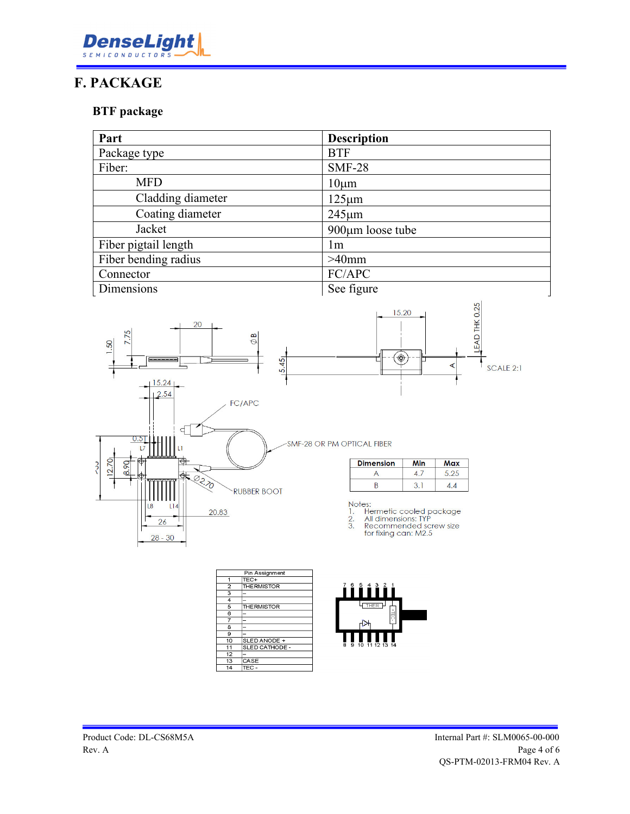

# **F. PACKAGE**

#### **BTF package**

| Part                 | <b>Description</b> |
|----------------------|--------------------|
| Package type         | <b>BTF</b>         |
| Fiber:               | <b>SMF-28</b>      |
| <b>MFD</b>           | $10 \mu m$         |
| Cladding diameter    | $125 \mu m$        |
| Coating diameter     | $245 \mu m$        |
| Jacket               | 900µm loose tube   |
| Fiber pigtail length | 1 <sub>m</sub>     |
| Fiber bending radius | $>40$ mm           |
| Connector            | FC/APC             |
| Dimensions           | See figure         |



|                | Pin Assignment     |
|----------------|--------------------|
| 1              | TEC+               |
| $\overline{2}$ | <b>THE RMISTOR</b> |
| 3              |                    |
| $\overline{4}$ |                    |
| 5              | <b>THE RMISTOR</b> |
| 6              |                    |
| 7              |                    |
| $\overline{8}$ |                    |
| 9              |                    |
| 10             | SLED ANODE +       |
| 11             | SLED CATHODE -     |
| 12             |                    |
| 13             | CASE               |
| 14             | $TEC -$            |

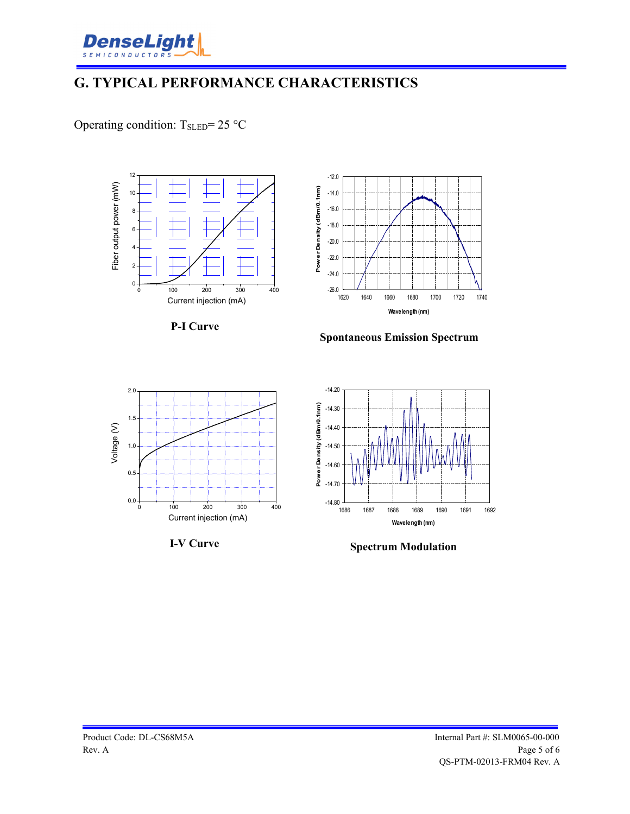

# **G. TYPICAL PERFORMANCE CHARACTERISTICS**

Operating condition:  $T_{SLED} = 25 °C$ 







-14.20 PowerDensity (dBm/0.1nm) **Pow er Density (dBm/0.1nm)** -14.30 -14.40 -14.50 -14.60 -14.70  $-14.80$   $+1686$ 1686 1687 1688 1689 1690 1691 1692 **Wavelength (nm)**

### **I-V Curve Spectrum Modulation**